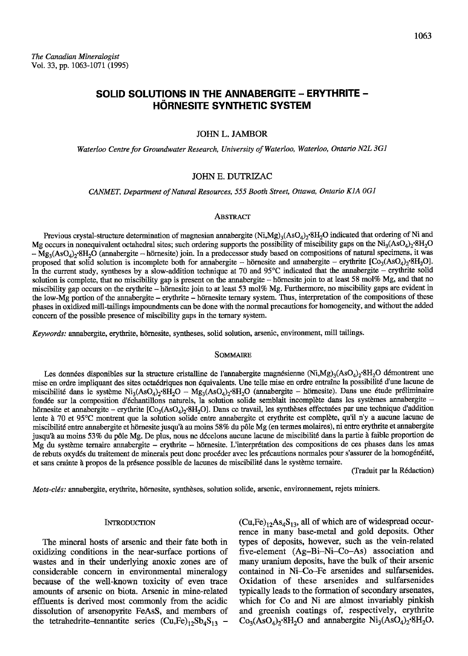# SOLID SOLUTIONS IN THE ANNABERGITE - ERYTHRITE -HÖRNESITE SYNTHETIC SYSTEM

# JOHNL. JAMBOR

Waterloo Centre for Groundwater Research, University of Waterloo, Waterloo, Ontario N2L 3G1

# JOHN E. DUTRIZAC

CANMET, Department of Natural Resources, 555 Booth Street, Ottawa, Ontario K1A 0G1

### ABSTRACT

Previous crystal-structure determination of magnesian annabergite  $(Ni, Mg)_3(ASO_4)_2^{\circ}8H_2O$  indicated that ordering of Ni and Mg occurs in nonequivalent octahedral sites; such ordering supports the possibility of miscibility gaps on the  $\text{Ni}_3(\text{AsO}_4)_2^{\,\,\text{28H}_2\text{O}}$  $-$  Mg<sub>3</sub>(AsO<sub>4</sub>)<sub>2</sub>·8H<sub>2</sub>O (annabergite - hörnesite) join. In a predecessor study based on compositions of natural specimens, it was proposed that solid solution is incomplete both for annabergite - hörnesite and annabergite - erythrite  $[Co_3(AsO_4)_2^6H_2O]$ . In the current study, syntheses by a slow-addition technique at 70 and 95°C indicated that the annabergite - erythrite solid solution is complete, that no miscibility gap is present on the annabergite - hörnesite join to at least 58 mol% Mg, and that no miscibility gap occurs on the erythrite – hörnesite join to at least 53 mol% Mg. Furthermore, no miscibility gaps are evident in the low-Mg portion of the annabergite - erythrite - hörnesite ternary system. Thus, interpretation of the compositions of these phases in oxidized mill-tailings impoundments can be done with the normal precautions for homogeneity, and without the added concern of the possible presence of miscibility gaps in the ternary system.

Keywords: annabergite, erythrite, hörnesite, syntheses, solid solution, arsenic, environment, mill tailings.

### SOMMAIRE

Les données disponibles sur la structure cristalline de l'annabergite magnésienne (Ni,Mg)<sub>3</sub>(AsO<sub>4</sub>)<sub>2</sub>'8H<sub>2</sub>O démontrent une mise en ordre impliquant des sites octa6driques non 6quivalents. Une telle mise en ordre entralne la possibilit6 d'une lacune de miscibilité dans le système Ni<sub>3</sub>(AsO<sub>4</sub>)<sub>2</sub>.8H<sub>2</sub>O - Mg<sub>3</sub>(AsO<sub>4</sub>)<sub>2</sub>.8H<sub>2</sub>O (annabergite - hörnesite). Dans une étude préliminaire fondée sur la composition d'échantillons naturels, la solution solide semblait incomplète dans les systèmes annabergite hörnesite et annabergite - erythrite  $[Co_3(AsO_4)_2.8H_2O]$ . Dans ce travail, les synthèses effectuées par une technique d'addition lente à 70 et 95°C montrent que la solution solide entre annabergite et erythrite est complète, qu'il n'y a aucune lacune de miscibilité entre annabergite et hörnesite jusqu'à au moins 58% du pôle Mg (en termes molaires), ni entre erythrite et annabergite jusqu'à au moins 53% du pôle Mg. De plus, nous ne décelons aucune lacune de miscibilité dans la partie à faible proportion de Mg du système ternaire annabergite - erythrite - hörnesite. L'interprétation des compositions de ces phases dans les amas de rebuts oxydés du traitement de minerais peut donc procéder avec les précautions normales pour s'assurer de la homogénéité, et sans crainte à propos de la présence possible de lacunes de miscibilité dans le système ternaire.

(Traduit par la Rédaction)

Mots-clés: annabergite, erythrite, hörnesite, synthèses, solution solide, arsenic, environnement, rejets miniers.

### **INTRODUCTION**

The mineral hosts of arsenic and their fate both in oxidizing conditions in the near-surface portions of wastes and in their underlying anoxic zones are of considerable concern in environmental mineralogy because of the well-known toxicity of even trace amounts of arsenic on biota. Arsenic in mine-related effluents is derived most cornmonly from the acidic dissolution of arsenopyrite FeAsS, and members of the tetrahedrite-tennantite series  $(Cu,Fe)_{12}Sb_4S_{13}$  -  $(Cu,Fe)_{12}As_4S_{13}$ , all of which are of widespread occurrence in many base-metal and gold deposits. Other types of deposits, however, such as the vein-related five-element (Ag-Bi-Ni-Co-As) association and many uranium deposits, have the bulk of their arsenic contained in Ni-Co-Fe arsenides and sulfarsenides. Oxidation of these arsenides and sulfarsenides typically leads to the forrnation of secondary arsenates, which for Co and Ni are almost invariably pinkish and greenish coatings of, respectively, erythrite  $Co<sub>3</sub>(AsO<sub>4</sub>)<sub>2</sub>·8H<sub>2</sub>O$  and annabergite  $Ni<sub>3</sub>(AsO<sub>4</sub>)<sub>2</sub>·8H<sub>2</sub>O$ .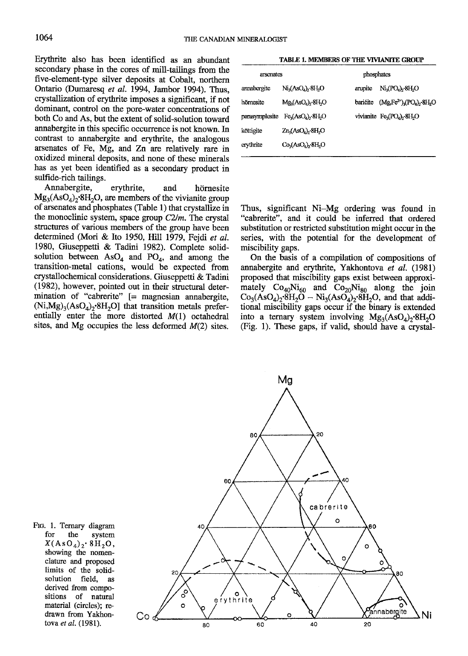Erythrite also has been identified as an abundant secondary phase in the cores of mill-tailings from the five-element-type silver deposits at Cobalt, northern Ontario (Dumaresq et al. 1994, Jambor 1994). Thus, crystallization of erythrite imposes a significant, if not dominant, control on the pore-water concentrations of both Co and As, but the extent of solid-solution toward annabergite in this specific occurrence is not known. In contrast to annabergite and erythrite, the analogous arsenates of Fe, Mg, and Zn are relatively rare in oxidized mineral deposits, and none of these minerals has as yet been identified as a secondary product in sulfide-rich tailings.

Annabergite, ervthrite. and hörnesite  $Mg_3(AsO_4)_2.8H_2O$ , are members of the vivianite group of arsenates and phosphates (Table 1) that crystallize in the monoclinic system, space group  $C2/m$ . The crystal structures of various members of the group have been determined (Mori & Ito 1950, Hill 1979, Fejdi et al. 1980, Giuseppetti & Tadini 1982). Complete solidsolution between  $AsO<sub>4</sub>$  and  $PO<sub>4</sub>$ , and among the transition-metal cations, would be expected from crystallochemical considerations. Giuseppetti & Tadini (1982), however, pointed out in their structural determination of "cabrerite" [= magnesian annabergite,  $(Ni, Mg)_{3}(AsO<sub>4</sub>)_{2}$ .8H<sub>2</sub>O] that transition metals preferentially enter the more distorted  $M(1)$  octahedral sites, and Mg occupies the less deformed  $M(2)$  sites.

TABLE 1. MEMBERS OF THE VIVIANITE GROUP

| arsenates             | phosphates |                                          |  |
|-----------------------|------------|------------------------------------------|--|
| $Ni3(AsO4)2·8H2O$     | arupite    | $Ni_3(PO_4)_2·8H_2O$                     |  |
| $Mg_3(AsO_4)_2.8H_2O$ | barićite   | $(Mg_{2}Fe^{2+})_{3}(PO_{4})_{2}8H_{2}O$ |  |
| $Fe3(AsO4)2·8H2O$     |            | vivianite $Fe3(PO4)2·8H2O$               |  |
| $Zn_3(AsO_4)_2.8H_2O$ |            |                                          |  |
| $Co3(AsO4)2·8H2O$     |            |                                          |  |
|                       |            |                                          |  |

Thus, significant Ni-Mg ordering was found in "cabrerite", and it could be inferred that ordered substitution or restricted substitution might occur in the series, with the potential for the development of miscibility gaps.

On the basis of a compilation of compositions of annabergite and erythrite, Yakhontova et al. (1981) proposed that miscibility gaps exist between approximately  $Co_{40}Ni_{60}$  and  $Co_{20}Ni_{80}$  along the join  $Co_3(AsO_4)_2.8H_2O - Ni_3(AsO_4)_2.8H_2O$ , and that additional miscibility gaps occur if the binary is extended into a ternary system involving  $Mg_3(ASO_4)_{2}$ .8H<sub>2</sub>O (Fig. 1). These gaps, if valid, should have a crystal-



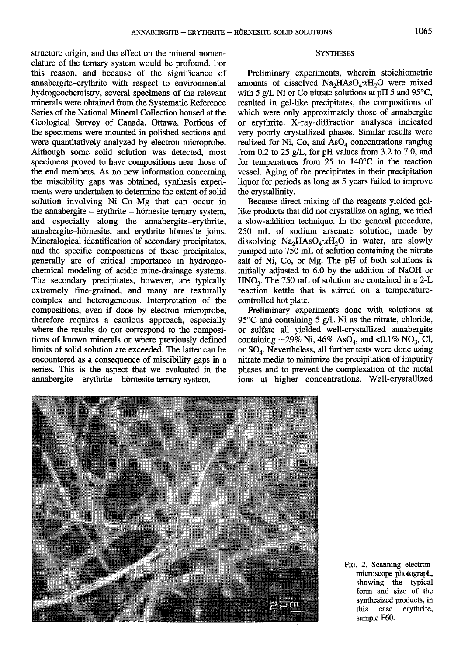structure origin, and the effect on the mineral nomenclature of the ternary system would be profound. For this reason, and because of the significance of annabergite-erythrite with respect to environmental hydrogeochemistry, several specimens of the relevant minerals were obtained from the Systematic Reference Series of the National Mineral Collection housed at the Geological Survey of Canada, Ottawa. Portions of the specimens were mounted in polished sections and were quantitatively analyzed by electron microprobe. Although some solid solution was detected, most specimens proved to have compositions near those of the end members. As no new information concerning the miscibility gaps was obtained, synthesis experiments were undertaken to determine the extent of solid solution involving Ni-Co-Mg that can occur in the annabergite  $-$  erythrite  $-$  hörnesite ternary system, and especially along the annabergite-erythrite, annabergite-hörnesite, and erythrite-hörnesite joins. Mineralogical identification of secondary precipitates, and the specific compositions of these precipitates, generally are of critical importance in hydrogeochemical modeling of acidic mine-drainage systems. The secondary precipitates, however, are typically extremely fine-grained, and many are texturally complex and heterogeneous. Interpretation of the compositions, even if done by electron microprobe, therefore requires a cautious approach, especially where the results do not correspond to the compositions of known minerals or where previously defined limits of solid solution are exceeded. The latter can be encountered as a consequence of miscibility gaps in a series. This is the aspect that we evaluated in the  $annabergite - erythrite - hörnesite ternary system.$ 

### **SYNTHESES**

Preliminary experiments, wherein stoichiometric amounts of dissolved  $Na<sub>2</sub>HAsO<sub>4</sub>·xH<sub>2</sub>O$  were mixed with 5 g/L Ni or Co nitrate solutions at pH 5 and 95°C, resulted in gel-like precipitates, the compositions of which were only approximately those of annabergite or erythrite. X-ray-diffraction analyses indicated very poorly crystallized phases. Similar results were realized for Ni, Co, and  $AsO<sub>4</sub>$  concentrations ranging from 0.2 to 25 g/L, for pH values from 3.2 to 7.0, and for temperatures from  $25$  to  $140^{\circ}$ C in the reaction vessel. Aging of the precipitates in their precipitation liquor for periods as long as 5 years failed to improve the crystallinity.

Because direct mixing of the reagents yielded gellike products that did not crystallize on aging, we tried a slow-addition technique. In the general procedure, 250 mL of sodium arsenate solution, made by dissolving  $Na<sub>2</sub>HAsO<sub>4</sub>·xH<sub>2</sub>O$  in water, are slowly pumped into 750 mI of solution containing the nifrate salt of Ni, Co, or Mg. The pH of both solutions is initially adjusted to 6.0 by the addition of NaOH or  $HNO<sub>3</sub>$ . The 750 mL of solution are contained in a 2-L reaction kettle that is stirred on a temperaturecontrolled hot plate.

Preliminary experiments done with solutions at 95 $\degree$ C and containing 5 g/L. Ni as the nitrate, chloride, or sulfate all yielded well-crystallized annabergite containing  $\sim$  29% Ni, 46% AsO<sub>4</sub>, and <0.1% NO<sub>3</sub>, Cl, or SO<sub>4</sub>. Nevertheless, all further tests were done using nitrate media to minimize the precipitation of impurity phases and to prevent the complexation of the metal ions at higher concentrations. Well-crystallized



Ftc. 2. Scanning electronmicroscope photograph, showing the typical form and size of the synthesized products, in<br>this case erythrite, this case erytbrite, sample F60.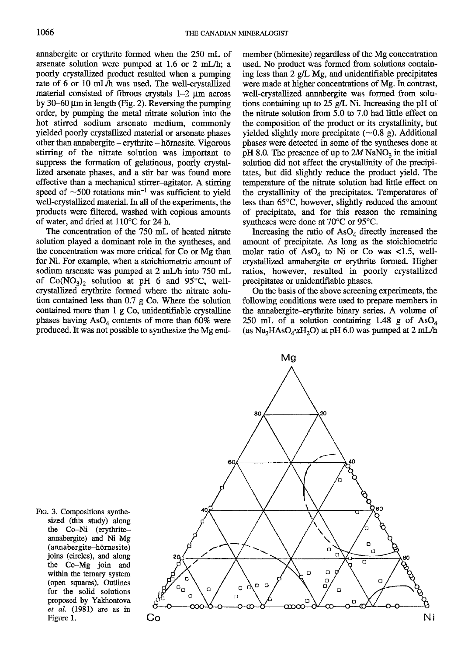annabergite or erythrite formed when the 250 mL of arsenate solution were pumped at 1.6 or 2 mI-/b; a poorly crystallized product resulted when a pumping rate of 6 or 10 mL/h was used. The well-crystallized material consisted of fibrous crystals  $1-2 \mu m$  across by 30–60  $\mu$ m in length (Fig. 2). Reversing the pumping order, by pumping the metal nitate solution into the hot stirred sodium arsenate medium, commonly yielded poorly crystallized material or arsenate phases other than annabergite - erythrite - hörnesite. Vigorous stirring of the nitrate solution was important to suppress the formation of gelatinous, poorly crystallized arsenate phases, and a stir bar was found more effective than a mechanical stirrer-agitator. A stirring speed of  $\sim$ 500 rotations min<sup>-1</sup> was sufficient to yield well-crystallized material. In all of the experiments, the products were filtered, washed with copious amounts of water, and dried at 1 10'C fot 24 h.

The concentration of the 750 mL of heated nitrate solution played a dominant role in the syntheses, and the concentration was more critical for Co or Mg than for Ni. For example, when a stoichiometric amount of sodium arsenate was pumped at 2 mL/h into 750 mL of  $Co(NO<sub>3</sub>)<sub>2</sub>$  solution at pH 6 and 95°C, wellcrystallized erytlrite formed where the nitate solution contained less than 0.7 g Co. Where the solution contained more than 1 g Co, unidentifiable crystalline phases having  $AsO<sub>4</sub>$  contents of more than 60% were produced. It was not possible to synthesize the Mg endmember (hörnesite) regardless of the Mg concentration used. No product was formed from solutions containing less than  $2$  g/L Mg, and unidentifiable precipitates were made at higher concentrations of Mg. In contrast, well-crystallized annabergite was formed from solutions containing up to 25 g/L Ni. Increasing the pH of the nitrate solution from 5.0 to 7.0 had little effect on the composition of the product or its crystallinity, but yielded slightly more precipitate  $(\sim 0.8 \text{ g})$ . Additional phases were detected in some of the syntheses done at pH 8.0. The presence of up to  $2M$  NaNO<sub>3</sub> in the initial solution did not affect the crystallinity of the precipitates, but did slightly reduce the product yield. The temperature of the nitrate solution had little effect on the crystallinity of the precipitates. Temperatures of less than  $65^{\circ}$ C, however, slightly reduced the amount of precipitate, and for this reason the remaining syntheses were done at  $70^{\circ}$ C or 95 $^{\circ}$ C.

Increasing the ratio of  $AsO<sub>4</sub>$  directly increased the amount of precipitate. As long as the stoichiometric molar ratio of  $AsO<sub>4</sub>$  to Ni or Co was <1.5, wellcrystallized annabergite or erythrite formed. Higher ratios, however, resulted in poorly crystallized precipitates or unidentifiable phases.

On the basis of the above screening experiments, the following conditions were used to prepare members in the annabergite-erythrite binary series. A volume of 250 mL of a solution containing 1.48 g of  $AsO<sub>4</sub>$ (as  $Na<sub>2</sub>HAsO<sub>4</sub>·xH<sub>2</sub>O$ ) at pH 6.0 was pumped at 2 mL/h



Ftc. 3. Compositions synthesized (this study) along the Co-Ni (erythriteannabergite) and Ni-Mg (annabergite-hdrnesite) joins (circles), and along the Co-Mg join and within the temary system (open squares). Outlines for the solid solutions proposed by Yakhontova et al. (1981) are as in Figure 1.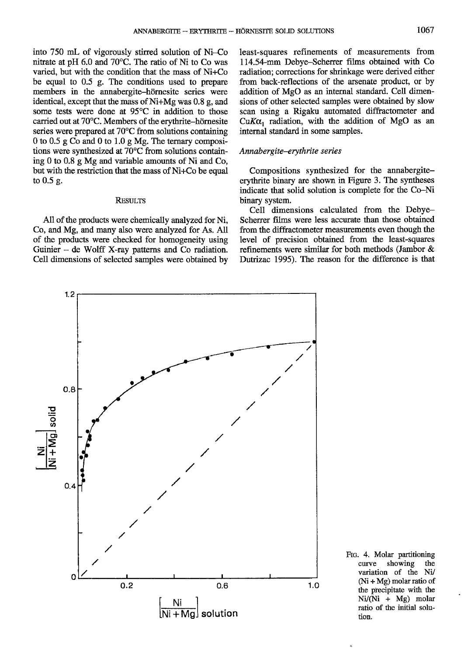into  $750$  mL of vigorously stirred solution of Ni $\sim$ Co nitrate at pH 6.0 and 70'C. The ratio of Ni to Co was varied. but with the condition that the mass of Ni+Co be equal to 0.5 g. The conditions used to prepare members in the annabergite-hörnesite series were identical, except that the mass of Ni+Mg was 0.8 g, and some tests were done at 95<sup>°</sup>C in addition to those carried out at 70°C. Members of the erythrite-hörnesite series were prepared at 70'C from solutions containing 0 to 0.5 g Co and 0 to 1.0 g Mg. The ternary compositions were synthesized at  $70^{\circ}$ C from solutions containing 0 to 0.8 g Mg and variable amounts of Ni and Co, but with the restriction that the mass of Ni+Co be equal to 0.5 g.

# **RESULTS**

Al1 of the products were chemically analyzed for Ni, Co, and Mg, and many also were analyzed for As. All of the products were checked for homogeneity using Guinier  $-$  de Wolff X-ray patterns and Co radiation. Cell dimensions of selected samples were obtained by

least-squares refinements of measurements from 114.54-mm Debye-Scherrer films obtained with Co radiation; corrections for shrinkage were derived either from back-reflections of the arsenate product, or by addition of MgO as an internal standard. Cell dimensions of other selected samples were obtained by slow scan using a Rigaku automated diffractometer and CuK $\alpha_1$  radiation, with the addition of MgO as an internal standard in some samples.

# Annabergite-erythrite series

Compositions synthesized for the annabergiteerythrite binary are shown in Figure 3. The syntheses indicate that solid solution is complete for the Co-Ni binary system.

Cell dimensions calculated from the Debye-Scherrer films were less accurate than those obtained from the diffractometer measurements even though the level of precision obtained from the least-squares refinements were similar for both methods (Jambor & Dutrizac 1995). The reason for the difference is that



Frc. 4. Molar partitioning curve showing the variation of the Ni/  $(Ni + Mg)$  molar ratio of the precipitate with the Ni/(Ni + Mg) molar ratio of the initial solution.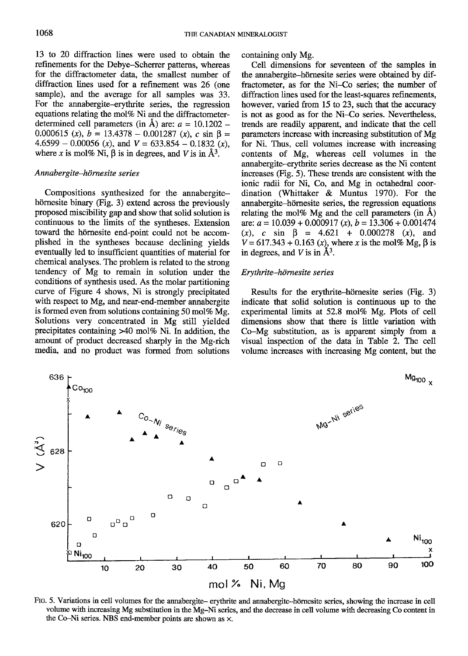13 to 20 diffraction lines were used to obtain the refinements for the Debye-Scherrer patterns, whereas for the diffractometer data. the smallest number of diffraction lines used for a refinement was 26 (one sample), and the average for all samples was 33. For the annabergite-erytlnite series, the regression equations relating the mol% Ni and the diffractometerdetermined cell parameters (in  $\AA$ ) are:  $a = 10.1202$  -0.000615 (x),  $b = 13.4378 - 0.001287$  (x), c sin  $\beta =$  $4.6599 - 0.00056$  (x), and  $V = 633.854 - 0.1832$  (x), where x is mol% Ni,  $\beta$  is in degrees, and V is in  $\AA^3$ .

# Annabergite-hörnesite series

Compositions synthesized for the annabergitehörnesite binary (Fig. 3) extend across the previously proposed miscibility gap and show that solid solution is continuous to the limits of the syntheses. Extension toward the hörnesite end-point could not be accomplished in the syntheses because declining yields eventually led to insufficient quantities of material for chemical analyses. The problem is related to the strong tendency of Mg to remain in solution under the conditions of synthesis used. As the molar partitioning curve of Figure 4 shows, Ni is strongly precipitated with respect to Mg, and near-end-member annabergite is formed even from solutions containing 50 mol% Mg. Solutions very concentrated in Mg still yielded precipitates containing  $>40$  mol% Ni. In addition, the amount of product decreased sharply in the Mg-rich media, and no product was formed from solutions containing only Mg.

Cell dimensions for seventeen of the samples in the annabergite-hörnesite series were obtained by diffractometer, as for the Ni-Co series; the number of diffraction lines used for the least-squares refinements, however, varied from 15 to 23, such that the accuracy is not as good as for the Ni-Co series. Nevertheless, trends are readily apparent, and indicate that the cell parameters increase with increasing substitution of Mg for Ni. Thus, cell volumes increase with increasing contents of Mg, whereas cell volumes in the annabergite--erythrite series decrease as the Ni content increases (Fig. 5). These trends are consistent with the ionic radii for Ni, Co, and Mg in octahedral coordination (Whittaker & Muntus 1970). For the annabergite-hörnesite series, the regression equations relating the mol% Mg and the cell parameters (in  $\AA$ ) are:  $a = 10.039 + 0.000917$  (x),  $b = 13.306 + 0.001474$ (x), c sin  $\beta = 4.621 + 0.000278$  (x), and  $V = 617.343 + 0.163$  (x), where x is the mol% Mg,  $\beta$  is in degrees, and  $V$  is in  $\AA^3$ .

# Erythrite-hörnesite series

Results for the erythrite-hörnesite series (Fig. 3) indicate that solid solution is continuous up to the experimental limits at 52.8 mol% Mg. Plots of cell dimensions show that there is little variation with  $Co-Mg$  substitution, as is apparent simply from a visual inspection of the data in Table 2. The cell volume increases with increasing Mg content, but the



FIG. 5. Variations in cell volumes for the annabergite-- erythrite and annabergite-hörnesite series, showing the increase in cell volume with increasing Mg substitution in the Mg-Ni series, and the decrease in cell volume with decreasing Co content in the Co-Ni series. NBS end-member points are shown as  $\times$ .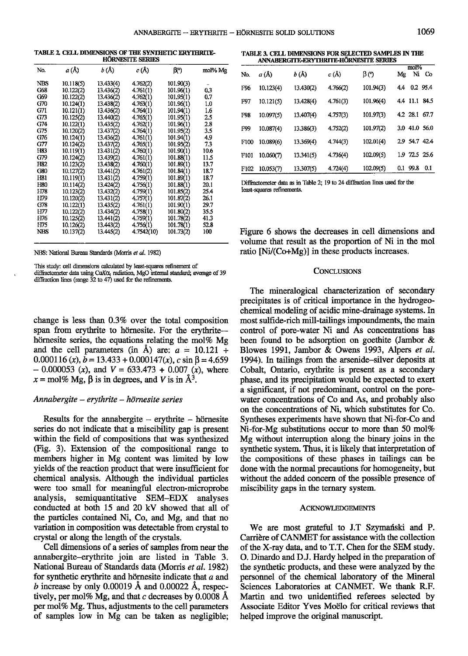TABLE 2. CELL DIMENSIONS OF THE SYNTHETIC ERYTHRITE-**HÖRNESITE SERIES** 

| No.        | a(A)      | b (Å)     | c (Å)      | BO)       | mol% Mg |
|------------|-----------|-----------|------------|-----------|---------|
| NBS        | 10.118(5) | 13.433(4) | 4.762(2)   | 101.90(3) |         |
| <b>C68</b> | 10.122(2) | 13.436(2) | 4.761(1)   | 101.96(1) | 0.3     |
| G69        | 10.122(2) | 13.436(2) | 4.762(1)   | 101.95(1) | 0.7     |
| G70        | 10.124(1) | 13.438(2) | 4.763(1)   | 101.96(1) | 1.0     |
| G71        | 10.121(1) | 13.436(2) | 4.764(1)   | 101.94(1) | 1.6     |
| G73        | 10.125(2) | 13.440(2) | 4.765(1)   | 101.95(1) | 2.5     |
| G74        | 10.122(1) | 13.435(2) | 4.762(1)   | 101.96(1) | 2.8     |
| G75        | 10.120(2) | 13.437(2) | 4.764(1)   | 101.95(2) | 3.5     |
| G76        | 10.124(1) | 13.436(2) | 4.761(1)   | 101.94(1) | 4.9     |
| G77        | 10.124(2) | 13.437(2) | 4.765(1)   | 101.95(2) | 73      |
| H83        | 10.119(1) | 13.431(2) | 4.760(1)   | 101.90(1) | 10.6    |
| G79        | 10.124(2) | 13.439(2) | 4.761(1)   | 101.88(1) | 11.5    |
| H82        | 10.123(2) | 13.438(2) | 4.760(1)   | 101.89(1) | 13.7    |
| G80        | 10.127(2) | 13.441(2) | 4.761(2)   | 101.84(1) | 18.7    |
| H81        | 10.119(1) | 13.431(2) | 4.759(1)   | 101.89(1) | 18.7    |
| H80        | 10.114(2) | 13.424(2) | 4.756(1)   | 101.88(1) | 20.1    |
| H78        | 10.123(2) | 13.432(2) | 4.759(1)   | 101.85(2) | 25.4    |
| H79        | 10.120(2) | 13.431(2) | 4.757(1)   | 101.87(2) | 26.1    |
| G78        | 10.122(1) | 13.435(2) | 4.761(1)   | 101.90(1) | 29.7    |
| H77        | 10.122(2) | 13.434(2) | 4.758(1)   | 101.80(2) | 35.5    |
| H76        | 10.125(2) | 13.441(2) | 4.759(1)   | 101.78(2) | 41.3    |
| H75        | 10.126(2) | 13.443(2) | 4.756(1)   | 101.78(1) | 52.8    |
| <b>NBS</b> | 10.137(2) | 13.445(2) | 4.7542(10) | 101.73(2) | 100     |
|            |           |           |            |           |         |

NBS: National Bureau Standards (Morris et al. 1982)

This study: cell dimensions calculated by least-squares refinement of diffractometer data using CuKo, radiation, MgO internal standard; average of 39 diffraction lines (range  $32$  to  $47$ ) used for the refinements.

change is less than 0.3% over the total composition span from erythrite to hörnesite. For the erythritehörnesite series, the equations relating the mol% Mg and the cell parameters (in  $\AA$ ) are:  $a = 10.121 +$  $0.000116(x)$ ,  $b = 13.433 + 0.000147(x)$ ,  $c \sin \beta = 4.659$  $-0.000053$  (x), and  $V = 633.473 + 0.007$  (x), where  $x = \text{mol}\%$  Mg,  $\beta$  is in degrees, and V is in  $\mathring{A}^3$ .

# Annabergite – erythrite – hörnesite series

Results for the annabergite  $-$  erythrite  $-$  hörnesite series do not indicate that a miscibility gap is present within the field of compositions that was synthesized (Fig. 3). Extension of the compositional range to members higher in Mg content was limited by low yields of the reaction product that were insufficient for chemical analysis. Although the individual particles were too small for meaningful electron-microprobe analysis, semiquantitative SEM-EDX analyses conducted at both 15 and 20 kV showed that all of the particles contained Ni, Co, and Mg, and that no variation in composition was detectable from crystal to crystal or along the length of the crystals.

Cell dimensions of a series of samples from near the annabergite-erythrite join are listed in Table 3. National Bureau of Standards data (Morris et al. 1982) for synthetic erythrite and hörnesite indicate that  $a$  and b increase by only 0.00019 Å and 0.00022 Å, respectively, per mol% Mg, and that  $c$  decreases by 0.0008 Å per mol% Mg. Thus, adjustments to the cell parameters of samples low in Mg can be taken as negligible;

TABLE 3. CELL DIMENSIONS FOR SELECTED SAMPLES IN THE ANNABERGITE-ERYTHRITE-HÖRNESITE SERIES

|             |           |           |          |           |     | mol%          |           |
|-------------|-----------|-----------|----------|-----------|-----|---------------|-----------|
| No.         | a (Å)     | b(A)      | c(A)     | βO        | Mg  | Ni            | <b>Co</b> |
| F96         | 10.123(4) | 13.430(2) | 4.766(2) | 101.94(3) | 4.4 |               | 0.2 95.4  |
| F97         | 10.121(5) | 13.428(4) | 4.761(3) | 101.96(4) |     | 4.4 11.1 84.5 |           |
| F98         | 10.097(5) | 13.407(4) | 4.757(3) | 101.97(3) |     | 4.2 28.1 67.7 |           |
| F99         | 10.087(4) | 13.386(3) | 4.752(2) | 101.97(2) |     | 3.0 41.0 56.0 |           |
| <b>F100</b> | 10.089(6) | 13.369(4) | 4.744(3) | 102.01(4) |     | 2.9 54.7 42.4 |           |
| F101        | 10.060(7) | 13.341(5) | 4.736(4) | 102.09(5) |     | 1.9 72.5 25.6 |           |
| F102        | 10.053(7) | 13.307(5) | 4.724(4) | 102.09(5) |     | 0.1 99.8      | 0.1       |
|             |           |           |          |           |     |               |           |

Diffractometer data as in Table 2: 19 to 24 diffraction lines used for the least-squares refinements.

Figure 6 shows the decreases in cell dimensions and volume that result as the proportion of Ni in the mol ratio [Ni/(Co+Mg)] in these products increases.

## **CONCLUSIONS**

The mineralogical characterization of secondary precipitates is of critical importance in the hydrogeochemical modeling of acidic mine-drainage systems. In most sulfide-rich mill-tailings impoundments, the main control of pore-water Ni and As concentrations has been found to be adsorption on goethite (Jambor  $\&$ Blowes 1991, Jambor & Owens 1993, Alpers et al. 1994). In tailings from the arsenide-silver deposits at Cobalt, Ontario, erythrite is present as a secondary phase, and its precipitation would be expected to exert a significant, if not predominant, control on the porewater concentrations of Co and As, and probably also on the concentrations of Ni, which substitutes for Co. Syntheses experiments have shown that Ni-for-Co and Ni-for-Mg substitutions occur to more than 50 mol% Mg without interruption along the binary joins in the synthetic system. Thus, it is likely that interpretation of the compositions of these phases in tailings can be done with the normal precautions for homogeneity, but without the added concern of the possible presence of miscibility gaps in the ternary system.

#### **ACKNOWLEDGEMENTS**

We are most grateful to J.T Szymański and P. Carrière of CANMET for assistance with the collection of the X-ray data, and to T.T. Chen for the SEM study. O. Dinardo and D.J. Hardy helped in the preparation of the synthetic products, and these were analyzed by the personnel of the chemical laboratory of the Mineral Sciences Laboratories at CANMET. We thank R.F. Martin and two unidentified referees selected by Associate Editor Yves Moëlo for critical reviews that helped improve the original manuscript.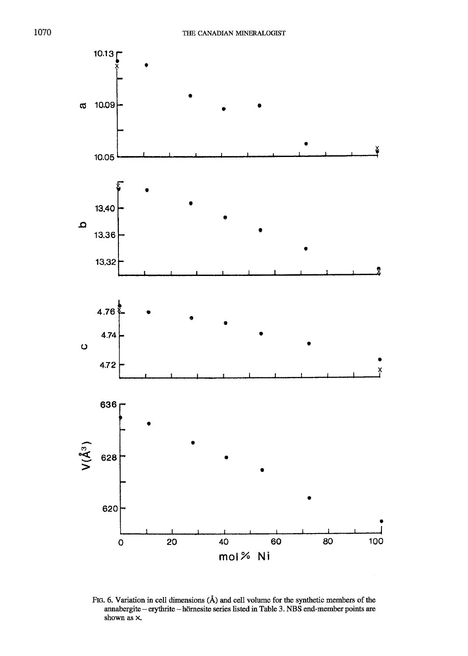

Flc. 6. Variation in cell dimensions (A) and cell volume for the synthetic members of the annabergite - erythrite - hörnesite series listed in Table 3. NBS end-member points are shown as x.